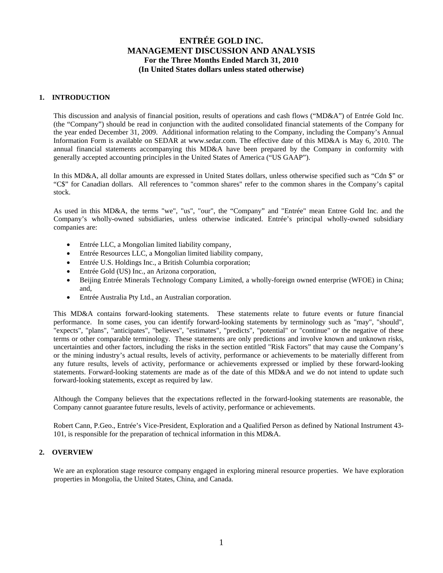## **1. INTRODUCTION**

This discussion and analysis of financial position, results of operations and cash flows ("MD&A") of Entrée Gold Inc. (the "Company") should be read in conjunction with the audited consolidated financial statements of the Company for the year ended December 31, 2009. Additional information relating to the Company, including the Company's Annual Information Form is available on SEDAR at www.sedar.com. The effective date of this MD&A is May 6, 2010. The annual financial statements accompanying this MD&A have been prepared by the Company in conformity with generally accepted accounting principles in the United States of America ("US GAAP").

In this MD&A, all dollar amounts are expressed in United States dollars, unless otherwise specified such as "Cdn \$" or "C\$" for Canadian dollars. All references to "common shares" refer to the common shares in the Company's capital stock.

As used in this MD&A, the terms "we", "us", "our", the "Company" and "Entrée" mean Entree Gold Inc. and the Company's wholly-owned subsidiaries, unless otherwise indicated. Entrée's principal wholly-owned subsidiary companies are:

- Entrée LLC, a Mongolian limited liability company,
- Entrée Resources LLC, a Mongolian limited liability company,
- Entrée U.S. Holdings Inc., a British Columbia corporation;
- Entrée Gold (US) Inc., an Arizona corporation,
- Beijing Entrée Minerals Technology Company Limited, a wholly-foreign owned enterprise (WFOE) in China; and,
- Entrée Australia Pty Ltd., an Australian corporation.

This MD&A contains forward-looking statements. These statements relate to future events or future financial performance. In some cases, you can identify forward-looking statements by terminology such as "may", "should", "expects", "plans", "anticipates", "believes", "estimates", "predicts", "potential" or "continue" or the negative of these terms or other comparable terminology. These statements are only predictions and involve known and unknown risks, uncertainties and other factors, including the risks in the section entitled "Risk Factors" that may cause the Company's or the mining industry's actual results, levels of activity, performance or achievements to be materially different from any future results, levels of activity, performance or achievements expressed or implied by these forward-looking statements. Forward-looking statements are made as of the date of this MD&A and we do not intend to update such forward-looking statements, except as required by law.

Although the Company believes that the expectations reflected in the forward-looking statements are reasonable, the Company cannot guarantee future results, levels of activity, performance or achievements.

Robert Cann, P.Geo., Entrée's Vice-President, Exploration and a Qualified Person as defined by National Instrument 43- 101, is responsible for the preparation of technical information in this MD&A.

## **2. OVERVIEW**

We are an exploration stage resource company engaged in exploring mineral resource properties. We have exploration properties in Mongolia, the United States, China, and Canada.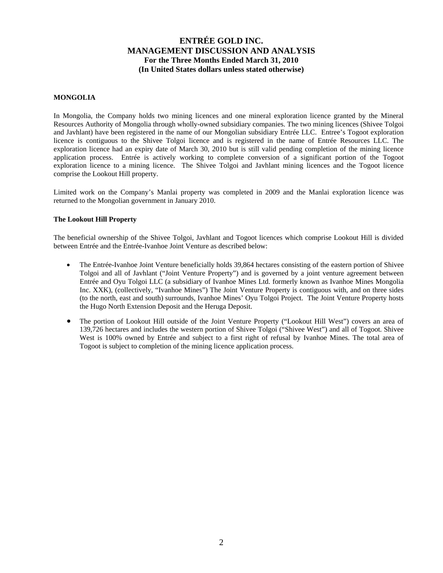### **MONGOLIA**

In Mongolia, the Company holds two mining licences and one mineral exploration licence granted by the Mineral Resources Authority of Mongolia through wholly-owned subsidiary companies. The two mining licences (Shivee Tolgoi and Javhlant) have been registered in the name of our Mongolian subsidiary Entrée LLC. Entree's Togoot exploration licence is contiguous to the Shivee Tolgoi licence and is registered in the name of Entrée Resources LLC. The exploration licence had an expiry date of March 30, 2010 but is still valid pending completion of the mining licence application process. Entrée is actively working to complete conversion of a significant portion of the Togoot exploration licence to a mining licence. The Shivee Tolgoi and Javhlant mining licences and the Togoot licence comprise the Lookout Hill property.

Limited work on the Company's Manlai property was completed in 2009 and the Manlai exploration licence was returned to the Mongolian government in January 2010.

#### **The Lookout Hill Property**

The beneficial ownership of the Shivee Tolgoi, Javhlant and Togoot licences which comprise Lookout Hill is divided between Entrée and the Entrée-Ivanhoe Joint Venture as described below:

- The Entrée-Ivanhoe Joint Venture beneficially holds 39,864 hectares consisting of the eastern portion of Shivee Tolgoi and all of Javhlant ("Joint Venture Property") and is governed by a joint venture agreement between Entrée and Oyu Tolgoi LLC (a subsidiary of Ivanhoe Mines Ltd. formerly known as Ivanhoe Mines Mongolia Inc. XXK), (collectively, "Ivanhoe Mines") The Joint Venture Property is contiguous with, and on three sides (to the north, east and south) surrounds, Ivanhoe Mines' Oyu Tolgoi Project. The Joint Venture Property hosts the Hugo North Extension Deposit and the Heruga Deposit.
- The portion of Lookout Hill outside of the Joint Venture Property ("Lookout Hill West") covers an area of 139,726 hectares and includes the western portion of Shivee Tolgoi ("Shivee West") and all of Togoot. Shivee West is 100% owned by Entrée and subject to a first right of refusal by Ivanhoe Mines. The total area of Togoot is subject to completion of the mining licence application process.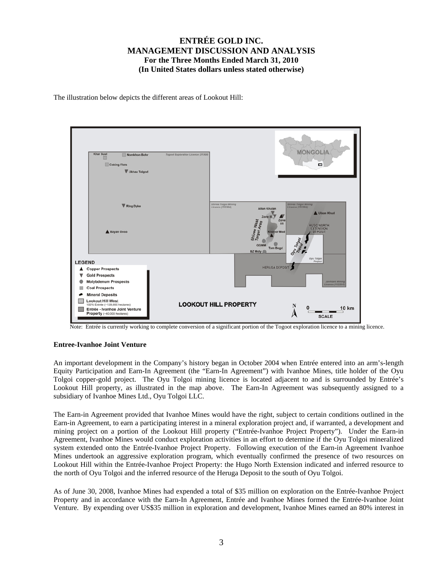The illustration below depicts the different areas of Lookout Hill:



Note: Entrée is currently working to complete conversion of a significant portion of the Togoot exploration licence to a mining licence.

## **Entree-Ivanhoe Joint Venture**

An important development in the Company's history began in October 2004 when Entrée entered into an arm's-length Equity Participation and Earn-In Agreement (the "Earn-In Agreement") with Ivanhoe Mines, title holder of the Oyu Tolgoi copper-gold project. The Oyu Tolgoi mining licence is located adjacent to and is surrounded by Entrée's Lookout Hill property, as illustrated in the map above. The Earn-In Agreement was subsequently assigned to a subsidiary of Ivanhoe Mines Ltd., Oyu Tolgoi LLC.

The Earn-in Agreement provided that Ivanhoe Mines would have the right, subject to certain conditions outlined in the Earn-in Agreement, to earn a participating interest in a mineral exploration project and, if warranted, a development and mining project on a portion of the Lookout Hill property ("Entrée-Ivanhoe Project Property"). Under the Earn-in Agreement, Ivanhoe Mines would conduct exploration activities in an effort to determine if the Oyu Tolgoi mineralized system extended onto the Entrée-Ivanhoe Project Property. Following execution of the Earn-in Agreement Ivanhoe Mines undertook an aggressive exploration program, which eventually confirmed the presence of two resources on Lookout Hill within the Entrée-Ivanhoe Project Property: the Hugo North Extension indicated and inferred resource to the north of Oyu Tolgoi and the inferred resource of the Heruga Deposit to the south of Oyu Tolgoi.

As of June 30, 2008, Ivanhoe Mines had expended a total of \$35 million on exploration on the Entrée-Ivanhoe Project Property and in accordance with the Earn-In Agreement, Entrée and Ivanhoe Mines formed the Entrée-Ivanhoe Joint Venture. By expending over US\$35 million in exploration and development, Ivanhoe Mines earned an 80% interest in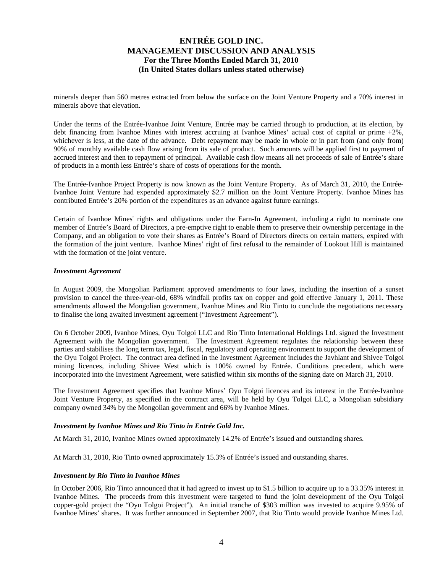minerals deeper than 560 metres extracted from below the surface on the Joint Venture Property and a 70% interest in minerals above that elevation.

Under the terms of the Entrée-Ivanhoe Joint Venture, Entrée may be carried through to production, at its election, by debt financing from Ivanhoe Mines with interest accruing at Ivanhoe Mines' actual cost of capital or prime +2%, whichever is less, at the date of the advance. Debt repayment may be made in whole or in part from (and only from) 90% of monthly available cash flow arising from its sale of product. Such amounts will be applied first to payment of accrued interest and then to repayment of principal. Available cash flow means all net proceeds of sale of Entrée's share of products in a month less Entrée's share of costs of operations for the month.

The Entrée-Ivanhoe Project Property is now known as the Joint Venture Property. As of March 31, 2010, the Entrée-Ivanhoe Joint Venture had expended approximately \$2.7 million on the Joint Venture Property. Ivanhoe Mines has contributed Entrée's 20% portion of the expenditures as an advance against future earnings.

Certain of Ivanhoe Mines' rights and obligations under the Earn-In Agreement, including a right to nominate one member of Entrée's Board of Directors, a pre-emptive right to enable them to preserve their ownership percentage in the Company, and an obligation to vote their shares as Entrée's Board of Directors directs on certain matters, expired with the formation of the joint venture. Ivanhoe Mines' right of first refusal to the remainder of Lookout Hill is maintained with the formation of the joint venture.

#### *Investment Agreement*

In August 2009, the Mongolian Parliament approved amendments to four laws, including the insertion of a sunset provision to cancel the three-year-old, 68% windfall profits tax on copper and gold effective January 1, 2011. These amendments allowed the Mongolian government, Ivanhoe Mines and Rio Tinto to conclude the negotiations necessary to finalise the long awaited investment agreement ("Investment Agreement").

On 6 October 2009, Ivanhoe Mines, Oyu Tolgoi LLC and Rio Tinto International Holdings Ltd. signed the Investment Agreement with the Mongolian government. The Investment Agreement regulates the relationship between these parties and stabilises the long term tax, legal, fiscal, regulatory and operating environment to support the development of the Oyu Tolgoi Project. The contract area defined in the Investment Agreement includes the Javhlant and Shivee Tolgoi mining licences, including Shivee West which is 100% owned by Entrée. Conditions precedent, which were incorporated into the Investment Agreement, were satisfied within six months of the signing date on March 31, 2010.

The Investment Agreement specifies that Ivanhoe Mines' Oyu Tolgoi licences and its interest in the Entrée-Ivanhoe Joint Venture Property, as specified in the contract area, will be held by Oyu Tolgoi LLC, a Mongolian subsidiary company owned 34% by the Mongolian government and 66% by Ivanhoe Mines.

#### *Investment by Ivanhoe Mines and Rio Tinto in Entrée Gold Inc.*

At March 31, 2010, Ivanhoe Mines owned approximately 14.2% of Entrée's issued and outstanding shares.

At March 31, 2010, Rio Tinto owned approximately 15.3% of Entrée's issued and outstanding shares.

#### *Investment by Rio Tinto in Ivanhoe Mines*

In October 2006, Rio Tinto announced that it had agreed to invest up to \$1.5 billion to acquire up to a 33.35% interest in Ivanhoe Mines. The proceeds from this investment were targeted to fund the joint development of the Oyu Tolgoi copper-gold project the "Oyu Tolgoi Project"). An initial tranche of \$303 million was invested to acquire 9.95% of Ivanhoe Mines' shares. It was further announced in September 2007, that Rio Tinto would provide Ivanhoe Mines Ltd.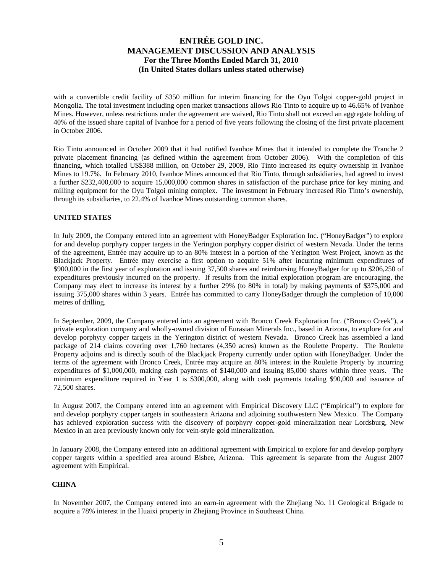with a convertible credit facility of \$350 million for interim financing for the Oyu Tolgoi copper-gold project in Mongolia. The total investment including open market transactions allows Rio Tinto to acquire up to 46.65% of Ivanhoe Mines. However, unless restrictions under the agreement are waived, Rio Tinto shall not exceed an aggregate holding of 40% of the issued share capital of Ivanhoe for a period of five years following the closing of the first private placement in October 2006.

Rio Tinto announced in October 2009 that it had notified Ivanhoe Mines that it intended to complete the Tranche 2 private placement financing (as defined within the agreement from October 2006). With the completion of this financing, which totalled US\$388 million, on October 29, 2009, Rio Tinto increased its equity ownership in Ivanhoe Mines to 19.7%. In February 2010, Ivanhoe Mines announced that Rio Tinto, through subsidiaries, had agreed to invest a further \$232,400,000 to acquire 15,000,000 common shares in satisfaction of the purchase price for key mining and milling equipment for the Oyu Tolgoi mining complex. The investment in February increased Rio Tinto's ownership, through its subsidiaries, to 22.4% of Ivanhoe Mines outstanding common shares.

### **UNITED STATES**

In July 2009, the Company entered into an agreement with HoneyBadger Exploration Inc. ("HoneyBadger") to explore for and develop porphyry copper targets in the Yerington porphyry copper district of western Nevada. Under the terms of the agreement, Entrée may acquire up to an 80% interest in a portion of the Yerington West Project, known as the Blackjack Property. Entrée may exercise a first option to acquire 51% after incurring minimum expenditures of \$900,000 in the first year of exploration and issuing 37,500 shares and reimbursing HoneyBadger for up to \$206,250 of expenditures previously incurred on the property. If results from the initial exploration program are encouraging, the Company may elect to increase its interest by a further 29% (to 80% in total) by making payments of \$375,000 and issuing 375,000 shares within 3 years. Entrée has committed to carry HoneyBadger through the completion of 10,000 metres of drilling.

In September, 2009, the Company entered into an agreement with Bronco Creek Exploration Inc. ("Bronco Creek"), a private exploration company and wholly-owned division of Eurasian Minerals Inc., based in Arizona, to explore for and develop porphyry copper targets in the Yerington district of western Nevada. Bronco Creek has assembled a land package of 214 claims covering over 1,760 hectares (4,350 acres) known as the Roulette Property. The Roulette Property adjoins and is directly south of the Blackjack Property currently under option with HoneyBadger. Under the terms of the agreement with Bronco Creek, Entrée may acquire an 80% interest in the Roulette Property by incurring expenditures of \$1,000,000, making cash payments of \$140,000 and issuing 85,000 shares within three years. The minimum expenditure required in Year 1 is \$300,000, along with cash payments totaling \$90,000 and issuance of 72,500 shares.

In August 2007, the Company entered into an agreement with Empirical Discovery LLC ("Empirical") to explore for and develop porphyry copper targets in southeastern Arizona and adjoining southwestern New Mexico. The Company has achieved exploration success with the discovery of porphyry copper-gold mineralization near Lordsburg, New Mexico in an area previously known only for vein-style gold mineralization.

In January 2008, the Company entered into an additional agreement with Empirical to explore for and develop porphyry copper targets within a specified area around Bisbee, Arizona. This agreement is separate from the August 2007 agreement with Empirical.

### **CHINA**

In November 2007, the Company entered into an earn-in agreement with the Zhejiang No. 11 Geological Brigade to acquire a 78% interest in the Huaixi property in Zhejiang Province in Southeast China.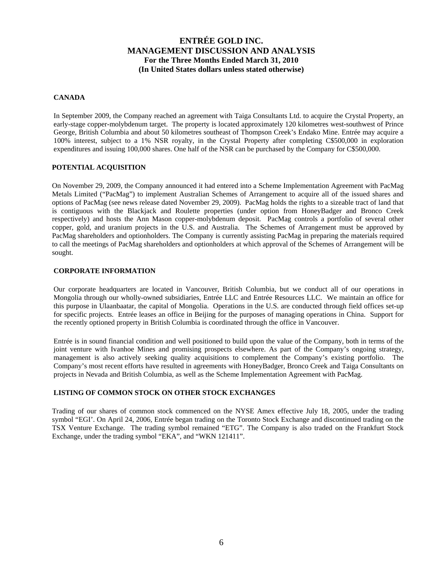### **CANADA**

In September 2009, the Company reached an agreement with Taiga Consultants Ltd. to acquire the Crystal Property, an early-stage copper-molybdenum target. The property is located approximately 120 kilometres west-southwest of Prince George, British Columbia and about 50 kilometres southeast of Thompson Creek's Endako Mine. Entrée may acquire a 100% interest, subject to a 1% NSR royalty, in the Crystal Property after completing C\$500,000 in exploration expenditures and issuing 100,000 shares. One half of the NSR can be purchased by the Company for C\$500,000.

## **POTENTIAL ACQUISITION**

On November 29, 2009, the Company announced it had entered into a Scheme Implementation Agreement with PacMag Metals Limited ("PacMag") to implement Australian Schemes of Arrangement to acquire all of the issued shares and options of PacMag (see news release dated November 29, 2009). PacMag holds the rights to a sizeable tract of land that is contiguous with the Blackjack and Roulette properties (under option from HoneyBadger and Bronco Creek respectively) and hosts the Ann Mason copper-molybdenum deposit. PacMag controls a portfolio of several other copper, gold, and uranium projects in the U.S. and Australia. The Schemes of Arrangement must be approved by PacMag shareholders and optionholders. The Company is currently assisting PacMag in preparing the materials required to call the meetings of PacMag shareholders and optionholders at which approval of the Schemes of Arrangement will be sought.

### **CORPORATE INFORMATION**

Our corporate headquarters are located in Vancouver, British Columbia, but we conduct all of our operations in Mongolia through our wholly-owned subsidiaries, Entrée LLC and Entrée Resources LLC. We maintain an office for this purpose in Ulaanbaatar, the capital of Mongolia. Operations in the U.S. are conducted through field offices set-up for specific projects. Entrée leases an office in Beijing for the purposes of managing operations in China. Support for the recently optioned property in British Columbia is coordinated through the office in Vancouver.

Entrée is in sound financial condition and well positioned to build upon the value of the Company, both in terms of the joint venture with Ivanhoe Mines and promising prospects elsewhere. As part of the Company's ongoing strategy, management is also actively seeking quality acquisitions to complement the Company's existing portfolio. The Company's most recent efforts have resulted in agreements with HoneyBadger, Bronco Creek and Taiga Consultants on projects in Nevada and British Columbia, as well as the Scheme Implementation Agreement with PacMag.

## **LISTING OF COMMON STOCK ON OTHER STOCK EXCHANGES**

Trading of our shares of common stock commenced on the NYSE Amex effective July 18, 2005, under the trading symbol "EGI'. On April 24, 2006, Entrée began trading on the Toronto Stock Exchange and discontinued trading on the TSX Venture Exchange. The trading symbol remained "ETG". The Company is also traded on the Frankfurt Stock Exchange, under the trading symbol "EKA", and "WKN 121411".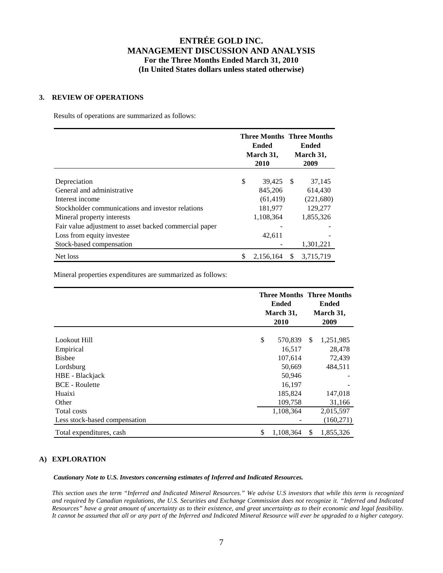### **3. REVIEW OF OPERATIONS**

Results of operations are summarized as follows:

|                                                        | <b>Three Months Three Months</b><br><b>Ended</b><br>March 31,<br>2010 |           |    | <b>Ended</b><br>March 31,<br>2009 |  |  |
|--------------------------------------------------------|-----------------------------------------------------------------------|-----------|----|-----------------------------------|--|--|
| Depreciation                                           | \$                                                                    | 39,425 \$ |    | 37,145                            |  |  |
| General and administrative                             |                                                                       | 845,206   |    | 614,430                           |  |  |
| Interest income                                        |                                                                       | (61, 419) |    | (221,680)                         |  |  |
| Stockholder communications and investor relations      |                                                                       | 181,977   |    | 129,277                           |  |  |
| Mineral property interests                             |                                                                       | 1,108,364 |    | 1,855,326                         |  |  |
| Fair value adjustment to asset backed commercial paper |                                                                       |           |    |                                   |  |  |
| Loss from equity investee                              |                                                                       | 42,611    |    |                                   |  |  |
| Stock-based compensation                               |                                                                       |           |    | 1,301,221                         |  |  |
| Net loss                                               | S                                                                     | 2.156.164 | -S | 3.715.719                         |  |  |

Mineral properties expenditures are summarized as follows:

|                               | <b>Three Months Three Months</b><br><b>Ended</b><br>March 31,<br>2010 |           |               | <b>Ended</b><br>March 31,<br>2009 |  |  |
|-------------------------------|-----------------------------------------------------------------------|-----------|---------------|-----------------------------------|--|--|
| Lookout Hill                  | \$                                                                    | 570,839   | \$            | 1,251,985                         |  |  |
| Empirical                     |                                                                       | 16,517    |               | 28,478                            |  |  |
| <b>Bishee</b>                 |                                                                       | 107,614   |               | 72,439                            |  |  |
| Lordsburg                     |                                                                       | 50,669    |               | 484,511                           |  |  |
| HBE - Blackjack               |                                                                       | 50,946    |               |                                   |  |  |
| <b>BCE</b> - Roulette         |                                                                       | 16,197    |               |                                   |  |  |
| Huaixi                        |                                                                       | 185,824   |               | 147,018                           |  |  |
| Other                         |                                                                       | 109,758   |               | 31,166                            |  |  |
| <b>Total costs</b>            |                                                                       | 1,108,364 |               | 2,015,597                         |  |  |
| Less stock-based compensation |                                                                       |           |               | (160, 271)                        |  |  |
| Total expenditures, cash      | \$                                                                    | 1,108,364 | <sup>\$</sup> | 1,855,326                         |  |  |

## **A) EXPLORATION**

*Cautionary Note to U.S. Investors concerning estimates of Inferred and Indicated Resources.* 

*This section uses the term "Inferred and Indicated Mineral Resources." We advise U.S investors that while this term is recognized and required by Canadian regulations, the U.S. Securities and Exchange Commission does not recognize it. "Inferred and Indicated Resources" have a great amount of uncertainty as to their existence, and great uncertainty as to their economic and legal feasibility. It cannot be assumed that all or any part of the Inferred and Indicated Mineral Resource will ever be upgraded to a higher category.*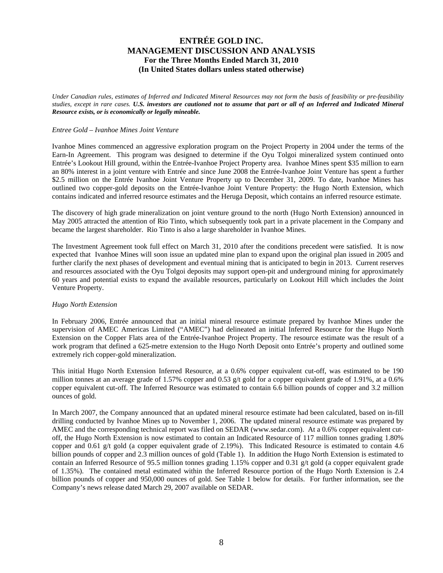*Under Canadian rules, estimates of Inferred and Indicated Mineral Resources may not form the basis of feasibility or pre-feasibility studies, except in rare cases. U.S. investors are cautioned not to assume that part or all of an Inferred and Indicated Mineral Resource exists, or is economically or legally mineable.*

#### *Entree Gold – Ivanhoe Mines Joint Venture*

Ivanhoe Mines commenced an aggressive exploration program on the Project Property in 2004 under the terms of the Earn-In Agreement. This program was designed to determine if the Oyu Tolgoi mineralized system continued onto Entrée's Lookout Hill ground, within the Entrée-Ivanhoe Project Property area. Ivanhoe Mines spent \$35 million to earn an 80% interest in a joint venture with Entrée and since June 2008 the Entrée-Ivanhoe Joint Venture has spent a further \$2.5 million on the Entrée Ivanhoe Joint Venture Property up to December 31, 2009. To date, Ivanhoe Mines has outlined two copper-gold deposits on the Entrée-Ivanhoe Joint Venture Property: the Hugo North Extension, which contains indicated and inferred resource estimates and the Heruga Deposit, which contains an inferred resource estimate.

The discovery of high grade mineralization on joint venture ground to the north (Hugo North Extension) announced in May 2005 attracted the attention of Rio Tinto, which subsequently took part in a private placement in the Company and became the largest shareholder. Rio Tinto is also a large shareholder in Ivanhoe Mines.

The Investment Agreement took full effect on March 31, 2010 after the conditions precedent were satisfied. It is now expected that Ivanhoe Mines will soon issue an updated mine plan to expand upon the original plan issued in 2005 and further clarify the next phases of development and eventual mining that is anticipated to begin in 2013. Current reserves and resources associated with the Oyu Tolgoi deposits may support open-pit and underground mining for approximately 60 years and potential exists to expand the available resources, particularly on Lookout Hill which includes the Joint Venture Property.

## *Hugo North Extension*

In February 2006, Entrée announced that an initial mineral resource estimate prepared by Ivanhoe Mines under the supervision of AMEC Americas Limited ("AMEC") had delineated an initial Inferred Resource for the Hugo North Extension on the Copper Flats area of the Entrée-Ivanhoe Project Property. The resource estimate was the result of a work program that defined a 625-metre extension to the Hugo North Deposit onto Entrée's property and outlined some extremely rich copper-gold mineralization.

This initial Hugo North Extension Inferred Resource, at a 0.6% copper equivalent cut-off, was estimated to be 190 million tonnes at an average grade of 1.57% copper and 0.53 g/t gold for a copper equivalent grade of 1.91%, at a 0.6% copper equivalent cut-off. The Inferred Resource was estimated to contain 6.6 billion pounds of copper and 3.2 million ounces of gold.

In March 2007, the Company announced that an updated mineral resource estimate had been calculated, based on in-fill drilling conducted by Ivanhoe Mines up to November 1, 2006. The updated mineral resource estimate was prepared by AMEC and the corresponding technical report was filed on SEDAR (www.sedar.com). At a 0.6% copper equivalent cutoff, the Hugo North Extension is now estimated to contain an Indicated Resource of 117 million tonnes grading 1.80% copper and 0.61 g/t gold (a copper equivalent grade of 2.19%). This Indicated Resource is estimated to contain 4.6 billion pounds of copper and 2.3 million ounces of gold (Table 1). In addition the Hugo North Extension is estimated to contain an Inferred Resource of 95.5 million tonnes grading 1.15% copper and 0.31 g/t gold (a copper equivalent grade of 1.35%). The contained metal estimated within the Inferred Resource portion of the Hugo North Extension is 2.4 billion pounds of copper and 950,000 ounces of gold. See Table 1 below for details. For further information, see the Company's news release dated March 29, 2007 available on SEDAR.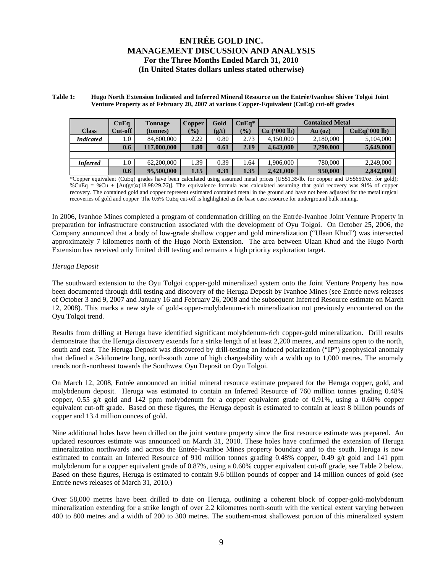#### **Table 1: Hugo North Extension Indicated and Inferred Mineral Resource on the Entrée/Ivanhoe Shivee Tolgoi Joint Venture Property as of February 20, 2007 at various Copper-Equivalent (CuEq) cut-off grades**

|                  | CuEq    | <b>Tonnage</b> | <b>Copper</b> | Gold  | $CuEq*$ | <b>Contained Metal</b>   |           |               |  |
|------------------|---------|----------------|---------------|-------|---------|--------------------------|-----------|---------------|--|
| <b>Class</b>     | Cut-off | (tonnes)       | $\frac{1}{2}$ | (g/t) | (%)     | $(900 \text{ lb})$<br>Cu | $Au$ (oz) | CuEq('000 lb) |  |
| <b>Indicated</b> | 0.1     | 84,800,000     | 2.22          | 0.80  | 2.73    | 4,150,000                | 2,180,000 | 5,104,000     |  |
|                  | 0.6     | 117,000,000    | 1.80          | 0.61  | 2.19    | 4,643,000                | 2,290,000 | 5,649,000     |  |
|                  |         |                |               |       |         |                          |           |               |  |
| <b>Inferred</b>  | 0.1     | 62,200,000     | 1.39          | 0.39  | 1.64    | 1.906.000                | 780,000   | 2,249,000     |  |
|                  | 0.6     | 95,500,000     | 1.15          | 0.31  | 1.35    | 2,421,000                | 950,000   | 2,842,000     |  |

\*Copper equivalent (CuEq) grades have been calculated using assumed metal prices (US\$1.35/lb. for copper and US\$650/oz. for gold); %CuEq = %Cu +  $[Au(g/t)x(18.98/29.76)]$ . The equivalence formula was calculated assuming that gold recovery was 91% of copper recovery. The contained gold and copper represent estimated contained metal in the ground and have not been adjusted for the metallurgical recoveries of gold and copper The 0.6% CuEq cut-off is highlighted as the base case resource for underground bulk mining.

In 2006, Ivanhoe Mines completed a program of condemnation drilling on the Entrée-Ivanhoe Joint Venture Property in preparation for infrastructure construction associated with the development of Oyu Tolgoi. On October 25, 2006, the Company announced that a body of low-grade shallow copper and gold mineralization ("Ulaan Khud") was intersected approximately 7 kilometres north of the Hugo North Extension. The area between Ulaan Khud and the Hugo North Extension has received only limited drill testing and remains a high priority exploration target.

## *Heruga Deposit*

The southward extension to the Oyu Tolgoi copper-gold mineralized system onto the Joint Venture Property has now been documented through drill testing and discovery of the Heruga Deposit by Ivanhoe Mines (see Entrée news releases of October 3 and 9, 2007 and January 16 and February 26, 2008 and the subsequent Inferred Resource estimate on March 12, 2008). This marks a new style of gold-copper-molybdenum-rich mineralization not previously encountered on the Oyu Tolgoi trend.

Results from drilling at Heruga have identified significant molybdenum-rich copper-gold mineralization. Drill results demonstrate that the Heruga discovery extends for a strike length of at least 2,200 metres, and remains open to the north, south and east. The Heruga Deposit was discovered by drill-testing an induced polarization ("IP") geophysical anomaly that defined a 3-kilometre long, north-south zone of high chargeability with a width up to 1,000 metres. The anomaly trends north-northeast towards the Southwest Oyu Deposit on Oyu Tolgoi.

On March 12, 2008, Entrée announced an initial mineral resource estimate prepared for the Heruga copper, gold, and molybdenum deposit. Heruga was estimated to contain an Inferred Resource of 760 million tonnes grading 0.48% copper, 0.55 g/t gold and 142 ppm molybdenum for a copper equivalent grade of 0.91%, using a 0.60% copper equivalent cut-off grade. Based on these figures, the Heruga deposit is estimated to contain at least 8 billion pounds of copper and 13.4 million ounces of gold.

Nine additional holes have been drilled on the joint venture property since the first resource estimate was prepared. An updated resources estimate was announced on March 31, 2010. These holes have confirmed the extension of Heruga mineralization northwards and across the Entrée-Ivanhoe Mines property boundary and to the south. Heruga is now estimated to contain an Inferred Resource of 910 million tonnes grading 0.48% copper, 0.49 g/t gold and 141 ppm molybdenum for a copper equivalent grade of 0.87%, using a 0.60% copper equivalent cut-off grade, see Table 2 below. Based on these figures, Heruga is estimated to contain 9.6 billion pounds of copper and 14 million ounces of gold (see Entrée news releases of March 31, 2010.)

Over 58,000 metres have been drilled to date on Heruga, outlining a coherent block of copper-gold-molybdenum mineralization extending for a strike length of over 2.2 kilometres north-south with the vertical extent varying between 400 to 800 metres and a width of 200 to 300 metres. The southern-most shallowest portion of this mineralized system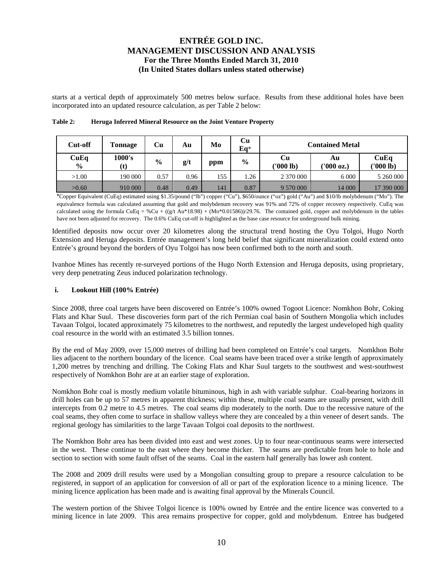starts at a vertical depth of approximately 500 metres below surface. Results from these additional holes have been incorporated into an updated resource calculation, as per Table 2 below:

| Cut-off               | <b>Tonnage</b> | Cu            | Au   | Mo  | Cu<br>$Eq*$   | <b>Contained Metal</b> |                  |                   |  |
|-----------------------|----------------|---------------|------|-----|---------------|------------------------|------------------|-------------------|--|
| CuEq<br>$\frac{6}{9}$ | 1000's<br>(t)  | $\frac{6}{9}$ | g/t  | ppm | $\frac{6}{9}$ | Cu<br>('000 lb)        | Αu<br>('000 oz.) | CuEq<br>('000 lb) |  |
| >1.00                 | 190 000        | 0.57          | 0.96 | 155 | . 26          | 2 370 000              | 6 0 0 0          | 5 260 000         |  |
| >0.60                 | 910 000        | 0.48          | 0.49 | 141 | 0.87          | 9 570 000              | 14 000           | 17 390 000        |  |

**Table 2: Heruga Inferred Mineral Resource on the Joint Venture Property** 

\*Copper Equivalent (CuEq) estimated using \$1.35/pound ("lb") copper ("Cu"), \$650/ounce ("oz") gold ("Au") and \$10/lb molybdenum ("Mo"). The equivalence formula was calculated assuming that gold and molybdenum recovery was 91% and 72% of copper recovery respectively. CuEq was calculated using the formula CuEq = %Cu + ((g/t Au\*18.98) + (Mo\*0.01586))/29.76. The contained gold, copper and molybdenum in the tables have not been adjusted for recovery. The 0.6% CuEq cut-off is highlighted as the base case resource for underground bulk mining.

Identified deposits now occur over 20 kilometres along the structural trend hosting the Oyu Tolgoi, Hugo North Extension and Heruga deposits. Entrée management's long held belief that significant mineralization could extend onto Entrée's ground beyond the borders of Oyu Tolgoi has now been confirmed both to the north and south.

Ivanhoe Mines has recently re-surveyed portions of the Hugo North Extension and Heruga deposits, using proprietary, very deep penetrating Zeus induced polarization technology.

## **i. Lookout Hill (100% Entrée)**

Since 2008, three coal targets have been discovered on Entrée's 100% owned Togoot Licence: Nomkhon Bohr, Coking Flats and Khar Suul. These discoveries form part of the rich Permian coal basin of Southern Mongolia which includes Tavaan Tolgoi, located approximately 75 kilometres to the northwest, and reputedly the largest undeveloped high quality coal resource in the world with an estimated 3.5 billion tonnes.

By the end of May 2009, over 15,000 metres of drilling had been completed on Entrée's coal targets. Nomkhon Bohr lies adjacent to the northern boundary of the licence. Coal seams have been traced over a strike length of approximately 1,200 metres by trenching and drilling. The Coking Flats and Khar Suul targets to the southwest and west-southwest respectively of Nomkhon Bohr are at an earlier stage of exploration.

Nomkhon Bohr coal is mostly medium volatile bituminous, high in ash with variable sulphur. Coal-bearing horizons in drill holes can be up to 57 metres in apparent thickness; within these, multiple coal seams are usually present, with drill intercepts from 0.2 metre to 4.5 metres. The coal seams dip moderately to the north. Due to the recessive nature of the coal seams, they often come to surface in shallow valleys where they are concealed by a thin veneer of desert sands. The regional geology has similarities to the large Tavaan Tolgoi coal deposits to the northwest.

The Nomkhon Bohr area has been divided into east and west zones. Up to four near-continuous seams were intersected in the west. These continue to the east where they become thicker. The seams are predictable from hole to hole and section to section with some fault offset of the seams. Coal in the eastern half generally has lower ash content.

The 2008 and 2009 drill results were used by a Mongolian consulting group to prepare a resource calculation to be registered, in support of an application for conversion of all or part of the exploration licence to a mining licence. The mining licence application has been made and is awaiting final approval by the Minerals Council.

The western portion of the Shivee Tolgoi licence is 100% owned by Entrée and the entire licence was converted to a mining licence in late 2009. This area remains prospective for copper, gold and molybdenum. Entree has budgeted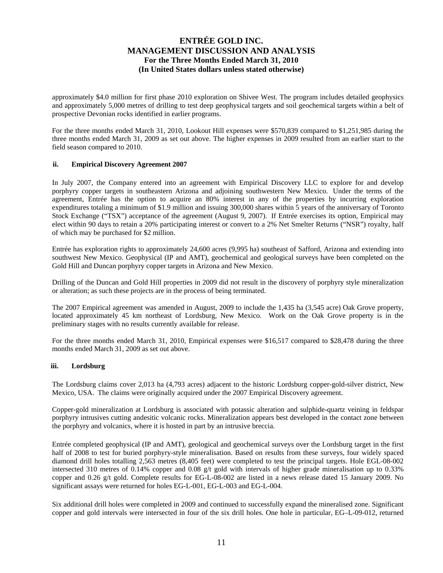approximately \$4.0 million for first phase 2010 exploration on Shivee West. The program includes detailed geophysics and approximately 5,000 metres of drilling to test deep geophysical targets and soil geochemical targets within a belt of prospective Devonian rocks identified in earlier programs.

For the three months ended March 31, 2010, Lookout Hill expenses were \$570,839 compared to \$1,251,985 during the three months ended March 31, 2009 as set out above. The higher expenses in 2009 resulted from an earlier start to the field season compared to 2010.

## **ii. Empirical Discovery Agreement 2007**

In July 2007, the Company entered into an agreement with Empirical Discovery LLC to explore for and develop porphyry copper targets in southeastern Arizona and adjoining southwestern New Mexico. Under the terms of the agreement, Entrée has the option to acquire an 80% interest in any of the properties by incurring exploration expenditures totaling a minimum of \$1.9 million and issuing 300,000 shares within 5 years of the anniversary of Toronto Stock Exchange ("TSX") acceptance of the agreement (August 9, 2007). If Entrée exercises its option, Empirical may elect within 90 days to retain a 20% participating interest or convert to a 2% Net Smelter Returns ("NSR") royalty, half of which may be purchased for \$2 million.

Entrée has exploration rights to approximately 24,600 acres (9,995 ha) southeast of Safford, Arizona and extending into southwest New Mexico. Geophysical (IP and AMT), geochemical and geological surveys have been completed on the Gold Hill and Duncan porphyry copper targets in Arizona and New Mexico.

Drilling of the Duncan and Gold Hill properties in 2009 did not result in the discovery of porphyry style mineralization or alteration; as such these projects are in the process of being terminated.

The 2007 Empirical agreement was amended in August, 2009 to include the 1,435 ha (3,545 acre) Oak Grove property, located approximately 45 km northeast of Lordsburg, New Mexico. Work on the Oak Grove property is in the preliminary stages with no results currently available for release.

For the three months ended March 31, 2010, Empirical expenses were \$16,517 compared to \$28,478 during the three months ended March 31, 2009 as set out above.

## **iii. Lordsburg**

The Lordsburg claims cover 2,013 ha (4,793 acres) adjacent to the historic Lordsburg copper-gold-silver district, New Mexico, USA. The claims were originally acquired under the 2007 Empirical Discovery agreement.

Copper-gold mineralization at Lordsburg is associated with potassic alteration and sulphide-quartz veining in feldspar porphyry intrusives cutting andesitic volcanic rocks. Mineralization appears best developed in the contact zone between the porphyry and volcanics, where it is hosted in part by an intrusive breccia.

Entrée completed geophysical (IP and AMT), geological and geochemical surveys over the Lordsburg target in the first half of 2008 to test for buried porphyry-style mineralisation. Based on results from these surveys, four widely spaced diamond drill holes totalling 2,563 metres (8,405 feet) were completed to test the principal targets. Hole EGL-08-002 intersected 310 metres of 0.14% copper and 0.08  $g/t$  gold with intervals of higher grade mineralisation up to 0.33% copper and 0.26 g/t gold. Complete results for EG-L-08-002 are listed in a news release dated 15 January 2009. No significant assays were returned for holes EG-L-001, EG-L-003 and EG-L-004.

Six additional drill holes were completed in 2009 and continued to successfully expand the mineralised zone. Significant copper and gold intervals were intersected in four of the six drill holes. One hole in particular, EG–L-09-012, returned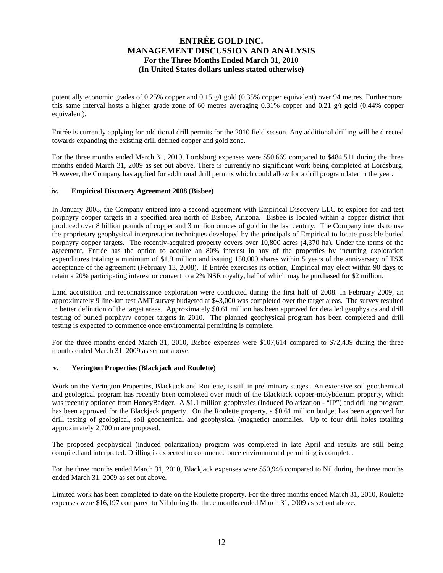potentially economic grades of 0.25% copper and 0.15 g/t gold (0.35% copper equivalent) over 94 metres. Furthermore, this same interval hosts a higher grade zone of 60 metres averaging 0.31% copper and 0.21 g/t gold (0.44% copper equivalent).

Entrée is currently applying for additional drill permits for the 2010 field season. Any additional drilling will be directed towards expanding the existing drill defined copper and gold zone.

For the three months ended March 31, 2010, Lordsburg expenses were \$50,669 compared to \$484,511 during the three months ended March 31, 2009 as set out above. There is currently no significant work being completed at Lordsburg. However, the Company has applied for additional drill permits which could allow for a drill program later in the year.

### **iv. Empirical Discovery Agreement 2008 (Bisbee)**

In January 2008, the Company entered into a second agreement with Empirical Discovery LLC to explore for and test porphyry copper targets in a specified area north of Bisbee, Arizona. Bisbee is located within a copper district that produced over 8 billion pounds of copper and 3 million ounces of gold in the last century. The Company intends to use the proprietary geophysical interpretation techniques developed by the principals of Empirical to locate possible buried porphyry copper targets. The recently-acquired property covers over 10,800 acres (4,370 ha). Under the terms of the agreement, Entrée has the option to acquire an 80% interest in any of the properties by incurring exploration expenditures totaling a minimum of \$1.9 million and issuing 150,000 shares within 5 years of the anniversary of TSX acceptance of the agreement (February 13, 2008). If Entrée exercises its option, Empirical may elect within 90 days to retain a 20% participating interest or convert to a 2% NSR royalty, half of which may be purchased for \$2 million.

Land acquisition and reconnaissance exploration were conducted during the first half of 2008. In February 2009, an approximately 9 line-km test AMT survey budgeted at \$43,000 was completed over the target areas. The survey resulted in better definition of the target areas. Approximately \$0.61 million has been approved for detailed geophysics and drill testing of buried porphyry copper targets in 2010. The planned geophysical program has been completed and drill testing is expected to commence once environmental permitting is complete.

For the three months ended March 31, 2010, Bisbee expenses were \$107,614 compared to \$72,439 during the three months ended March 31, 2009 as set out above.

## **v. Yerington Properties (Blackjack and Roulette)**

Work on the Yerington Properties, Blackjack and Roulette, is still in preliminary stages. An extensive soil geochemical and geological program has recently been completed over much of the Blackjack copper-molybdenum property, which was recently optioned from HoneyBadger. A \$1.1 million geophysics (Induced Polarization - "IP") and drilling program has been approved for the Blackjack property. On the Roulette property, a \$0.61 million budget has been approved for drill testing of geological, soil geochemical and geophysical (magnetic) anomalies. Up to four drill holes totalling approximately 2,700 m are proposed.

The proposed geophysical (induced polarization) program was completed in late April and results are still being compiled and interpreted. Drilling is expected to commence once environmental permitting is complete.

For the three months ended March 31, 2010, Blackjack expenses were \$50,946 compared to Nil during the three months ended March 31, 2009 as set out above.

Limited work has been completed to date on the Roulette property. For the three months ended March 31, 2010, Roulette expenses were \$16,197 compared to Nil during the three months ended March 31, 2009 as set out above.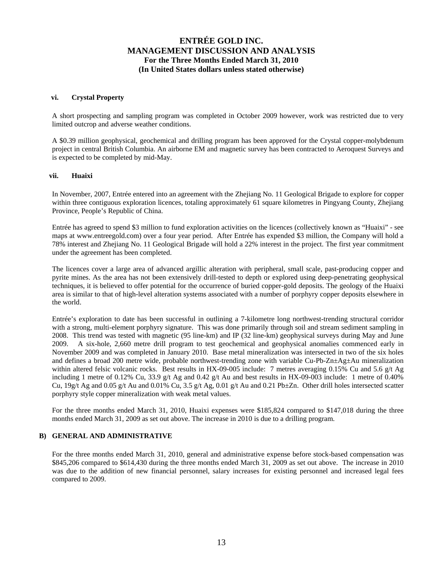#### **vi. Crystal Property**

A short prospecting and sampling program was completed in October 2009 however, work was restricted due to very limited outcrop and adverse weather conditions.

A \$0.39 million geophysical, geochemical and drilling program has been approved for the Crystal copper-molybdenum project in central British Columbia. An airborne EM and magnetic survey has been contracted to Aeroquest Surveys and is expected to be completed by mid-May.

#### **vii. Huaixi**

In November, 2007, Entrée entered into an agreement with the Zhejiang No. 11 Geological Brigade to explore for copper within three contiguous exploration licences, totaling approximately 61 square kilometres in Pingyang County, Zhejiang Province, People's Republic of China.

Entrée has agreed to spend \$3 million to fund exploration activities on the licences (collectively known as "Huaixi" - see maps at www.entreegold.com) over a four year period. After Entrée has expended \$3 million, the Company will hold a 78% interest and Zhejiang No. 11 Geological Brigade will hold a 22% interest in the project. The first year commitment under the agreement has been completed.

The licences cover a large area of advanced argillic alteration with peripheral, small scale, past-producing copper and pyrite mines. As the area has not been extensively drill-tested to depth or explored using deep-penetrating geophysical techniques, it is believed to offer potential for the occurrence of buried copper-gold deposits. The geology of the Huaixi area is similar to that of high-level alteration systems associated with a number of porphyry copper deposits elsewhere in the world.

Entrée's exploration to date has been successful in outlining a 7-kilometre long northwest-trending structural corridor with a strong, multi-element porphyry signature. This was done primarily through soil and stream sediment sampling in 2008. This trend was tested with magnetic (95 line-km) and IP (32 line-km) geophysical surveys during May and June 2009. A six-hole, 2,660 metre drill program to test geochemical and geophysical anomalies commenced early in November 2009 and was completed in January 2010. Base metal mineralization was intersected in two of the six holes and defines a broad 200 metre wide, probable northwest-trending zone with variable Cu-Pb-Zn±Ag±Au mineralization within altered felsic volcanic rocks. Best results in HX-09-005 include: 7 metres averaging 0.15% Cu and 5.6 g/t Ag including 1 metre of 0.12% Cu, 33.9 g/t Ag and 0.42 g/t Au and best results in HX-09-003 include: 1 metre of 0.40% Cu, 19g/t Ag and 0.05 g/t Au and 0.01% Cu, 3.5 g/t Ag, 0.01 g/t Au and 0.21 Pb $\pm$ Zn. Other drill holes intersected scatter porphyry style copper mineralization with weak metal values.

For the three months ended March 31, 2010, Huaixi expenses were \$185,824 compared to \$147,018 during the three months ended March 31, 2009 as set out above. The increase in 2010 is due to a drilling program.

### **B) GENERAL AND ADMINISTRATIVE**

For the three months ended March 31, 2010, general and administrative expense before stock-based compensation was \$845,206 compared to \$614,430 during the three months ended March 31, 2009 as set out above. The increase in 2010 was due to the addition of new financial personnel, salary increases for existing personnel and increased legal fees compared to 2009.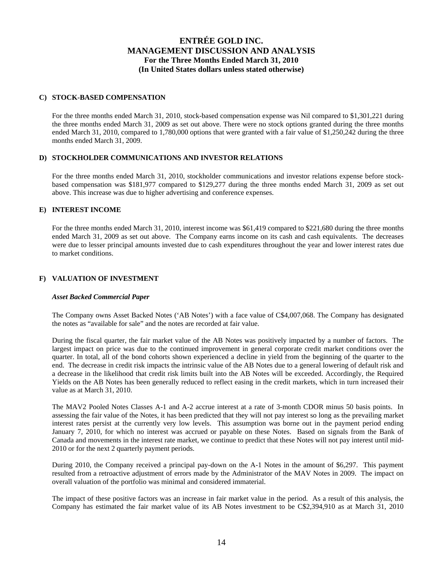### **C) STOCK-BASED COMPENSATION**

For the three months ended March 31, 2010, stock-based compensation expense was Nil compared to \$1,301,221 during the three months ended March 31, 2009 as set out above. There were no stock options granted during the three months ended March 31, 2010, compared to 1,780,000 options that were granted with a fair value of \$1,250,242 during the three months ended March 31, 2009.

### **D) STOCKHOLDER COMMUNICATIONS AND INVESTOR RELATIONS**

For the three months ended March 31, 2010, stockholder communications and investor relations expense before stockbased compensation was \$181,977 compared to \$129,277 during the three months ended March 31, 2009 as set out above. This increase was due to higher advertising and conference expenses.

#### **E) INTEREST INCOME**

For the three months ended March 31, 2010, interest income was \$61,419 compared to \$221,680 during the three months ended March 31, 2009 as set out above. The Company earns income on its cash and cash equivalents. The decreases were due to lesser principal amounts invested due to cash expenditures throughout the year and lower interest rates due to market conditions.

## **F) VALUATION OF INVESTMENT**

#### *Asset Backed Commercial Paper*

The Company owns Asset Backed Notes ('AB Notes') with a face value of C\$4,007,068. The Company has designated the notes as "available for sale" and the notes are recorded at fair value.

During the fiscal quarter, the fair market value of the AB Notes was positively impacted by a number of factors. The largest impact on price was due to the continued improvement in general corporate credit market conditions over the quarter. In total, all of the bond cohorts shown experienced a decline in yield from the beginning of the quarter to the end. The decrease in credit risk impacts the intrinsic value of the AB Notes due to a general lowering of default risk and a decrease in the likelihood that credit risk limits built into the AB Notes will be exceeded. Accordingly, the Required Yields on the AB Notes has been generally reduced to reflect easing in the credit markets, which in turn increased their value as at March 31, 2010.

The MAV2 Pooled Notes Classes A-1 and A-2 accrue interest at a rate of 3-month CDOR minus 50 basis points. In assessing the fair value of the Notes, it has been predicted that they will not pay interest so long as the prevailing market interest rates persist at the currently very low levels. This assumption was borne out in the payment period ending January 7, 2010, for which no interest was accrued or payable on these Notes. Based on signals from the Bank of Canada and movements in the interest rate market, we continue to predict that these Notes will not pay interest until mid-2010 or for the next 2 quarterly payment periods.

During 2010, the Company received a principal pay-down on the A-1 Notes in the amount of \$6,297. This payment resulted from a retroactive adjustment of errors made by the Administrator of the MAV Notes in 2009. The impact on overall valuation of the portfolio was minimal and considered immaterial.

The impact of these positive factors was an increase in fair market value in the period. As a result of this analysis, the Company has estimated the fair market value of its AB Notes investment to be C\$2,394,910 as at March 31, 2010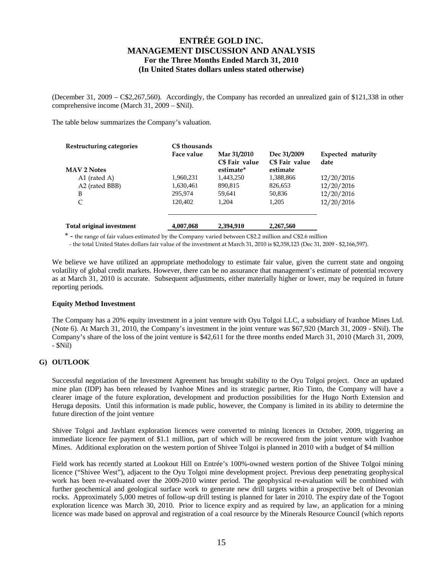(December 31, 2009 – C\$2,267,560). Accordingly, the Company has recorded an unrealized gain of \$121,338 in other comprehensive income (March 31, 2009 – \$Nil).

The table below summarizes the Company's valuation.

| Restructuring categories         | C\$ thousands<br>Face value | Mar 31/2010                 | Dec 31/2009                | Expected maturity |
|----------------------------------|-----------------------------|-----------------------------|----------------------------|-------------------|
| <b>MAV 2 Notes</b>               |                             | C\$ Fair value<br>estimate* | C\$ Fair value<br>estimate | date              |
| A1 (rated A)                     | 1,960,231                   | 1,443,250                   | 1,388,866                  | 12/20/2016        |
| A2 (rated BBB)                   | 1,630,461                   | 890,815                     | 826,653                    | 12/20/2016        |
| B                                | 295,974                     | 59,641                      | 50,836                     | 12/20/2016        |
| C                                | 120.402                     | 1.204                       | 1.205                      | 12/20/2016        |
| <b>Total original investment</b> | 4,007,068                   | 2,394,910                   | 2,267,560                  |                   |

\* - the range of fair values estimated by the Company varied between C\$2.2 million and C\$2.6 million

- the total United States dollars fair value of the investment at March 31, 2010 is \$2,358,123 (Dec 31, 2009 - \$2,166,597).

We believe we have utilized an appropriate methodology to estimate fair value, given the current state and ongoing volatility of global credit markets. However, there can be no assurance that management's estimate of potential recovery as at March 31, 2010 is accurate. Subsequent adjustments, either materially higher or lower, may be required in future reporting periods.

#### **Equity Method Investment**

The Company has a 20% equity investment in a joint venture with Oyu Tolgoi LLC, a subsidiary of Ivanhoe Mines Ltd. (Note 6). At March 31, 2010, the Company's investment in the joint venture was \$67,920 (March 31, 2009 - \$Nil). The Company's share of the loss of the joint venture is \$42,611 for the three months ended March 31, 2010 (March 31, 2009, - \$Nil)

## **G) OUTLOOK**

Successful negotiation of the Investment Agreement has brought stability to the Oyu Tolgoi project. Once an updated mine plan (IDP) has been released by Ivanhoe Mines and its strategic partner, Rio Tinto, the Company will have a clearer image of the future exploration, development and production possibilities for the Hugo North Extension and Heruga deposits. Until this information is made public, however, the Company is limited in its ability to determine the future direction of the joint venture

Shivee Tolgoi and Javhlant exploration licences were converted to mining licences in October, 2009, triggering an immediate licence fee payment of \$1.1 million, part of which will be recovered from the joint venture with Ivanhoe Mines. Additional exploration on the western portion of Shivee Tolgoi is planned in 2010 with a budget of \$4 million

Field work has recently started at Lookout Hill on Entrée's 100%-owned western portion of the Shivee Tolgoi mining licence ("Shivee West"), adjacent to the Oyu Tolgoi mine development project. Previous deep penetrating geophysical work has been re-evaluated over the 2009-2010 winter period. The geophysical re-evaluation will be combined with further geochemical and geological surface work to generate new drill targets within a prospective belt of Devonian rocks. Approximately 5,000 metres of follow-up drill testing is planned for later in 2010. The expiry date of the Togoot exploration licence was March 30, 2010. Prior to licence expiry and as required by law, an application for a mining licence was made based on approval and registration of a coal resource by the Minerals Resource Council (which reports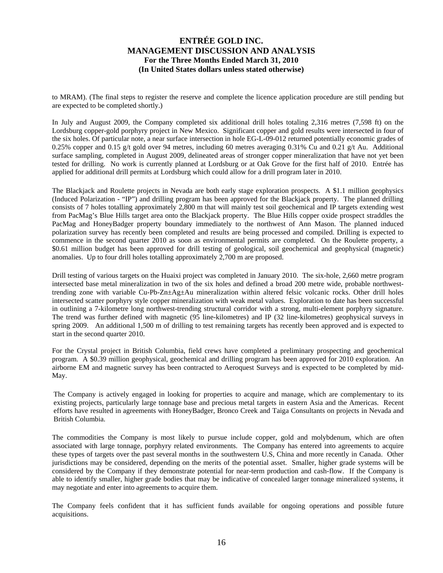to MRAM). (The final steps to register the reserve and complete the licence application procedure are still pending but are expected to be completed shortly.)

In July and August 2009, the Company completed six additional drill holes totaling 2,316 metres (7,598 ft) on the Lordsburg copper-gold porphyry project in New Mexico. Significant copper and gold results were intersected in four of the six holes. Of particular note, a near surface intersection in hole EG-L-09-012 returned potentially economic grades of 0.25% copper and 0.15 g/t gold over 94 metres, including 60 metres averaging 0.31% Cu and 0.21 g/t Au. Additional surface sampling, completed in August 2009, delineated areas of stronger copper mineralization that have not yet been tested for drilling. No work is currently planned at Lordsburg or at Oak Grove for the first half of 2010. Entrée has applied for additional drill permits at Lordsburg which could allow for a drill program later in 2010.

The Blackjack and Roulette projects in Nevada are both early stage exploration prospects. A \$1.1 million geophysics (Induced Polarization - "IP") and drilling program has been approved for the Blackjack property. The planned drilling consists of 7 holes totalling approximately 2,800 m that will mainly test soil geochemical and IP targets extending west from PacMag's Blue Hills target area onto the Blackjack property. The Blue Hills copper oxide prospect straddles the PacMag and HoneyBadger property boundary immediately to the northwest of Ann Mason. The planned induced polarization survey has recently been completed and results are being processed and compiled. Drilling is expected to commence in the second quarter 2010 as soon as environmental permits are completed. On the Roulette property, a \$0.61 million budget has been approved for drill testing of geological, soil geochemical and geophysical (magnetic) anomalies. Up to four drill holes totalling approximately 2,700 m are proposed.

Drill testing of various targets on the Huaixi project was completed in January 2010. The six-hole, 2,660 metre program intersected base metal mineralization in two of the six holes and defined a broad 200 metre wide, probable northwesttrending zone with variable Cu-Pb-Zn $\pm$ Ag $\pm$ Au mineralization within altered felsic volcanic rocks. Other drill holes intersected scatter porphyry style copper mineralization with weak metal values. Exploration to date has been successful in outlining a 7-kilometre long northwest-trending structural corridor with a strong, multi-element porphyry signature. The trend was further defined with magnetic (95 line-kilometres) and IP (32 line-kilometres) geophysical surveys in spring 2009. An additional 1,500 m of drilling to test remaining targets has recently been approved and is expected to start in the second quarter 2010.

For the Crystal project in British Columbia, field crews have completed a preliminary prospecting and geochemical program. A \$0.39 million geophysical, geochemical and drilling program has been approved for 2010 exploration. An airborne EM and magnetic survey has been contracted to Aeroquest Surveys and is expected to be completed by mid-May.

The Company is actively engaged in looking for properties to acquire and manage, which are complementary to its existing projects, particularly large tonnage base and precious metal targets in eastern Asia and the Americas. Recent efforts have resulted in agreements with HoneyBadger, Bronco Creek and Taiga Consultants on projects in Nevada and British Columbia.

The commodities the Company is most likely to pursue include copper, gold and molybdenum, which are often associated with large tonnage, porphyry related environments. The Company has entered into agreements to acquire these types of targets over the past several months in the southwestern U.S, China and more recently in Canada. Other jurisdictions may be considered, depending on the merits of the potential asset. Smaller, higher grade systems will be considered by the Company if they demonstrate potential for near-term production and cash-flow. If the Company is able to identify smaller, higher grade bodies that may be indicative of concealed larger tonnage mineralized systems, it may negotiate and enter into agreements to acquire them.

The Company feels confident that it has sufficient funds available for ongoing operations and possible future acquisitions.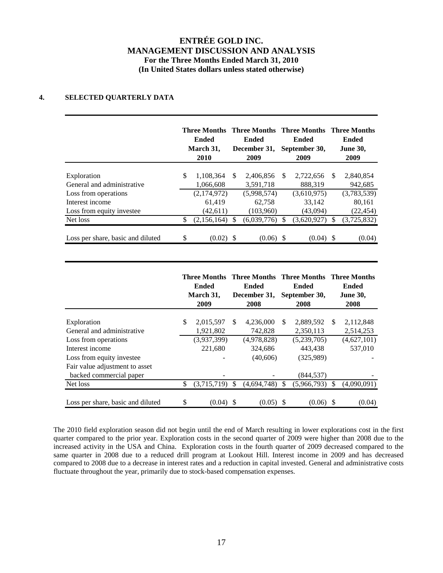## **4. SELECTED QUARTERLY DATA**

|                                   | <b>Three Months</b><br><b>Ended</b><br>March 31,<br>2010 |          | Three Months Three Months Three Months<br><b>Ended</b><br>December 31,<br>2009 |    | <b>Ended</b><br>September 30,<br>2009 |     | <b>Ended</b><br><b>June 30,</b><br>2009 |
|-----------------------------------|----------------------------------------------------------|----------|--------------------------------------------------------------------------------|----|---------------------------------------|-----|-----------------------------------------|
| Exploration                       | \$<br>1.108.364                                          | <b>S</b> | 2.406.856                                                                      | -S | 2,722,656                             | \$. | 2,840,854                               |
| General and administrative        | 1,066,608                                                |          | 3,591,718                                                                      |    | 888,319                               |     | 942,685                                 |
| Loss from operations              | (2,174,972)                                              |          | (5,998,574)                                                                    |    | (3,610,975)                           |     | (3,783,539)                             |
| Interest income                   | 61.419                                                   |          | 62,758                                                                         |    | 33,142                                |     | 80,161                                  |
| Loss from equity investee         | (42,611)                                                 |          | (103,960)                                                                      |    | (43,094)                              |     | (22, 454)                               |
| Net loss                          | \$<br>(2,156,164)                                        |          | (6,039,776)                                                                    | S  | (3,620,927)                           | S   | (3,725,832)                             |
| Loss per share, basic and diluted | \$<br>(0.02)                                             | - S      | (0.06)                                                                         |    | (0.04)                                |     | (0.04)                                  |

|                                           | <b>Three Months</b><br>Ended<br>March 31,<br>2009 |               | <b>Ended</b><br>December 31,<br>2008 |               | <b>Three Months Three Months Three Months</b><br><b>Ended</b><br>September 30,<br>2008 |               | <b>Ended</b><br><b>June 30,</b><br>2008 |
|-------------------------------------------|---------------------------------------------------|---------------|--------------------------------------|---------------|----------------------------------------------------------------------------------------|---------------|-----------------------------------------|
|                                           |                                                   | <sup>\$</sup> |                                      |               |                                                                                        |               |                                         |
| Exploration<br>General and administrative | \$<br>2,015,597<br>1,921,802                      |               | 4,236,000<br>742,828                 | \$.           | 2,889,592<br>2,350,113                                                                 | -S            | 2,112,848<br>2,514,253                  |
| Loss from operations                      | (3,937,399)                                       |               | (4,978,828)                          |               | (5,239,705)                                                                            |               | (4,627,101)                             |
| Interest income                           | 221,680                                           |               | 324,686                              |               | 443.438                                                                                |               | 537,010                                 |
| Loss from equity investee                 |                                                   |               | (40,606)                             |               | (325,989)                                                                              |               |                                         |
| Fair value adjustment to asset            |                                                   |               |                                      |               |                                                                                        |               |                                         |
| backed commercial paper                   |                                                   |               |                                      |               | (844, 537)                                                                             |               |                                         |
| Net loss                                  | \$<br>$(3,715,719)$ \$                            |               | (4,694,748)                          | <sup>\$</sup> | (5,966,793)                                                                            | <sup>\$</sup> | (4,090,091)                             |
| Loss per share, basic and diluted         | \$<br>(0.04)                                      | - S           | $(0.05)$ \$                          |               | (0.06)                                                                                 |               | (0.04)                                  |

The 2010 field exploration season did not begin until the end of March resulting in lower explorations cost in the first quarter compared to the prior year. Exploration costs in the second quarter of 2009 were higher than 2008 due to the increased activity in the USA and China. Exploration costs in the fourth quarter of 2009 decreased compared to the same quarter in 2008 due to a reduced drill program at Lookout Hill. Interest income in 2009 and has decreased compared to 2008 due to a decrease in interest rates and a reduction in capital invested. General and administrative costs fluctuate throughout the year, primarily due to stock-based compensation expenses.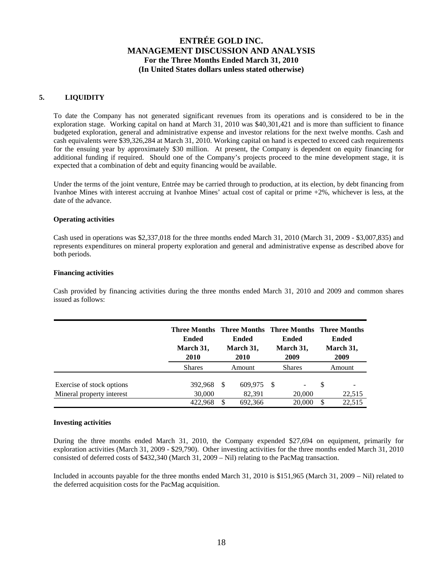## **5. LIQUIDITY**

To date the Company has not generated significant revenues from its operations and is considered to be in the exploration stage. Working capital on hand at March 31, 2010 was \$40,301,421 and is more than sufficient to finance budgeted exploration, general and administrative expense and investor relations for the next twelve months. Cash and cash equivalents were \$39,326,284 at March 31, 2010. Working capital on hand is expected to exceed cash requirements for the ensuing year by approximately \$30 million. At present, the Company is dependent on equity financing for additional funding if required. Should one of the Company's projects proceed to the mine development stage, it is expected that a combination of debt and equity financing would be available.

Under the terms of the joint venture, Entrée may be carried through to production, at its election, by debt financing from Ivanhoe Mines with interest accruing at Ivanhoe Mines' actual cost of capital or prime +2%, whichever is less, at the date of the advance.

### **Operating activities**

Cash used in operations was \$2,337,018 for the three months ended March 31, 2010 (March 31, 2009 - \$3,007,835) and represents expenditures on mineral property exploration and general and administrative expense as described above for both periods.

### **Financing activities**

Cash provided by financing activities during the three months ended March 31, 2010 and 2009 and common shares issued as follows:

|                                                        | <b>Ended</b><br>March 31,<br>2010 | <b>Three Months Three Months Three Months Three Months</b><br><b>Ended</b><br>March 31,<br>2010 |                   | <b>Ended</b><br>March 31,<br>2009 |        | <b>Ended</b><br>March 31,<br>2009 |        |  |
|--------------------------------------------------------|-----------------------------------|-------------------------------------------------------------------------------------------------|-------------------|-----------------------------------|--------|-----------------------------------|--------|--|
|                                                        | <b>Shares</b>                     | Amount                                                                                          |                   | <b>Shares</b>                     |        | Amount                            |        |  |
| Exercise of stock options<br>Mineral property interest | 392,968<br>30,000                 | -S                                                                                              | 609.975<br>82,391 | - \$                              | 20,000 | S                                 | 22,515 |  |
|                                                        | 422.968                           | <b>S</b>                                                                                        | 692.366           |                                   | 20,000 | \$                                | 22,515 |  |

## **Investing activities**

During the three months ended March 31, 2010, the Company expended \$27,694 on equipment, primarily for exploration activities (March 31, 2009 - \$29,790). Other investing activities for the three months ended March 31, 2010 consisted of deferred costs of \$432,340 (March 31, 2009 – Nil) relating to the PacMag transaction.

Included in accounts payable for the three months ended March 31, 2010 is \$151,965 (March 31, 2009 – Nil) related to the deferred acquisition costs for the PacMag acquisition.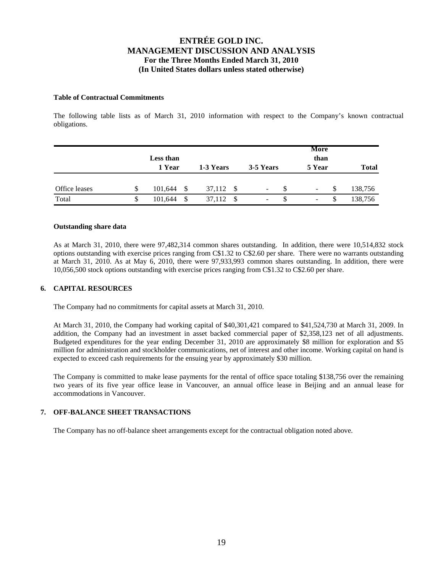### **Table of Contractual Commitments**

The following table lists as of March 31, 2010 information with respect to the Company's known contractual obligations.

|               |   | Less than<br>1 Year | 1-3 Years      | 3-5 Years                | More<br>than<br>5 Year   | <b>Total</b> |
|---------------|---|---------------------|----------------|--------------------------|--------------------------|--------------|
| Office leases | S | -\$<br>101,644      | 37,112<br>- \$ | $\overline{\phantom{a}}$ | $\overline{\phantom{a}}$ | 138,756      |
| Total         |   | \$<br>101,644       | 37,112<br>- \$ | ۰                        | $\overline{\phantom{a}}$ | 138,756      |

### **Outstanding share data**

As at March 31, 2010, there were 97,482,314 common shares outstanding. In addition, there were 10,514,832 stock options outstanding with exercise prices ranging from C\$1.32 to C\$2.60 per share. There were no warrants outstanding at March 31, 2010. As at May 6, 2010, there were 97,933,993 common shares outstanding. In addition, there were 10,056,500 stock options outstanding with exercise prices ranging from C\$1.32 to C\$2.60 per share.

## **6. CAPITAL RESOURCES**

The Company had no commitments for capital assets at March 31, 2010.

At March 31, 2010, the Company had working capital of \$40,301,421 compared to \$41,524,730 at March 31, 2009. In addition, the Company had an investment in asset backed commercial paper of \$2,358,123 net of all adjustments. Budgeted expenditures for the year ending December 31, 2010 are approximately \$8 million for exploration and \$5 million for administration and stockholder communications, net of interest and other income. Working capital on hand is expected to exceed cash requirements for the ensuing year by approximately \$30 million.

The Company is committed to make lease payments for the rental of office space totaling \$138,756 over the remaining two years of its five year office lease in Vancouver, an annual office lease in Beijing and an annual lease for accommodations in Vancouver.

## **7. OFF-BALANCE SHEET TRANSACTIONS**

The Company has no off-balance sheet arrangements except for the contractual obligation noted above.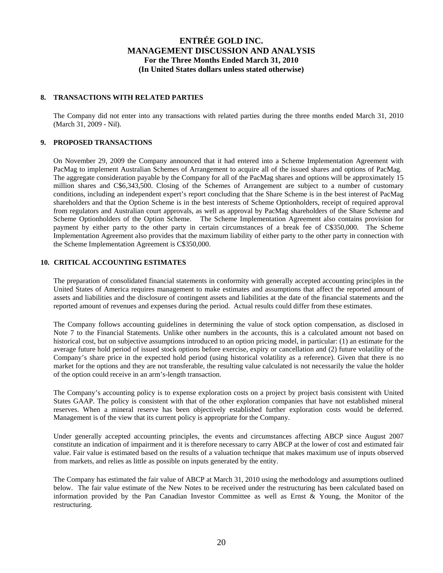## **8. TRANSACTIONS WITH RELATED PARTIES**

The Company did not enter into any transactions with related parties during the three months ended March 31, 2010 (March 31, 2009 - Nil).

## **9. PROPOSED TRANSACTIONS**

On November 29, 2009 the Company announced that it had entered into a Scheme Implementation Agreement with PacMag to implement Australian Schemes of Arrangement to acquire all of the issued shares and options of PacMag. The aggregate consideration payable by the Company for all of the PacMag shares and options will be approximately 15 million shares and C\$6,343,500. Closing of the Schemes of Arrangement are subject to a number of customary conditions, including an independent expert's report concluding that the Share Scheme is in the best interest of PacMag shareholders and that the Option Scheme is in the best interests of Scheme Optionholders, receipt of required approval from regulators and Australian court approvals, as well as approval by PacMag shareholders of the Share Scheme and Scheme Optionholders of the Option Scheme. The Scheme Implementation Agreement also contains provision for payment by either party to the other party in certain circumstances of a break fee of C\$350,000. The Scheme Implementation Agreement also provides that the maximum liability of either party to the other party in connection with the Scheme Implementation Agreement is C\$350,000.

## **10. CRITICAL ACCOUNTING ESTIMATES**

The preparation of consolidated financial statements in conformity with generally accepted accounting principles in the United States of America requires management to make estimates and assumptions that affect the reported amount of assets and liabilities and the disclosure of contingent assets and liabilities at the date of the financial statements and the reported amount of revenues and expenses during the period. Actual results could differ from these estimates.

The Company follows accounting guidelines in determining the value of stock option compensation, as disclosed in Note 7 to the Financial Statements. Unlike other numbers in the accounts, this is a calculated amount not based on historical cost, but on subjective assumptions introduced to an option pricing model, in particular: (1) an estimate for the average future hold period of issued stock options before exercise, expiry or cancellation and (2) future volatility of the Company's share price in the expected hold period (using historical volatility as a reference). Given that there is no market for the options and they are not transferable, the resulting value calculated is not necessarily the value the holder of the option could receive in an arm's-length transaction.

The Company's accounting policy is to expense exploration costs on a project by project basis consistent with United States GAAP. The policy is consistent with that of the other exploration companies that have not established mineral reserves. When a mineral reserve has been objectively established further exploration costs would be deferred. Management is of the view that its current policy is appropriate for the Company.

Under generally accepted accounting principles, the events and circumstances affecting ABCP since August 2007 constitute an indication of impairment and it is therefore necessary to carry ABCP at the lower of cost and estimated fair value. Fair value is estimated based on the results of a valuation technique that makes maximum use of inputs observed from markets, and relies as little as possible on inputs generated by the entity.

The Company has estimated the fair value of ABCP at March 31, 2010 using the methodology and assumptions outlined below. The fair value estimate of the New Notes to be received under the restructuring has been calculated based on information provided by the Pan Canadian Investor Committee as well as Ernst & Young, the Monitor of the restructuring.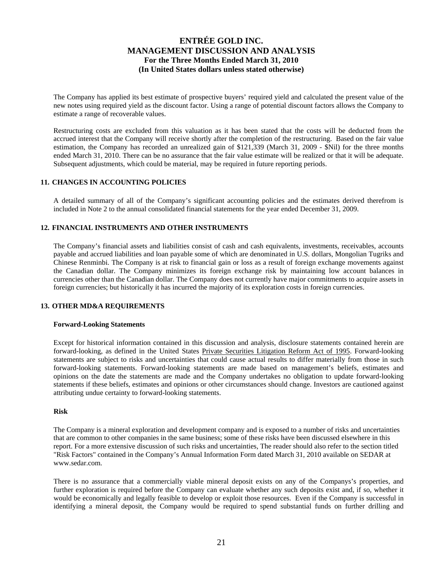The Company has applied its best estimate of prospective buyers' required yield and calculated the present value of the new notes using required yield as the discount factor. Using a range of potential discount factors allows the Company to estimate a range of recoverable values.

Restructuring costs are excluded from this valuation as it has been stated that the costs will be deducted from the accrued interest that the Company will receive shortly after the completion of the restructuring. Based on the fair value estimation, the Company has recorded an unrealized gain of \$121,339 (March 31, 2009 - \$Nil) for the three months ended March 31, 2010. There can be no assurance that the fair value estimate will be realized or that it will be adequate. Subsequent adjustments, which could be material, may be required in future reporting periods.

### **11. CHANGES IN ACCOUNTING POLICIES**

A detailed summary of all of the Company's significant accounting policies and the estimates derived therefrom is included in Note 2 to the annual consolidated financial statements for the year ended December 31, 2009.

### **12. FINANCIAL INSTRUMENTS AND OTHER INSTRUMENTS**

The Company's financial assets and liabilities consist of cash and cash equivalents, investments, receivables, accounts payable and accrued liabilities and loan payable some of which are denominated in U.S. dollars, Mongolian Tugriks and Chinese Renminbi. The Company is at risk to financial gain or loss as a result of foreign exchange movements against the Canadian dollar. The Company minimizes its foreign exchange risk by maintaining low account balances in currencies other than the Canadian dollar. The Company does not currently have major commitments to acquire assets in foreign currencies; but historically it has incurred the majority of its exploration costs in foreign currencies.

## **13. OTHER MD&A REQUIREMENTS**

#### **Forward-Looking Statements**

Except for historical information contained in this discussion and analysis, disclosure statements contained herein are forward-looking, as defined in the United States Private Securities Litigation Reform Act of 1995. Forward-looking statements are subject to risks and uncertainties that could cause actual results to differ materially from those in such forward-looking statements. Forward-looking statements are made based on management's beliefs, estimates and opinions on the date the statements are made and the Company undertakes no obligation to update forward-looking statements if these beliefs, estimates and opinions or other circumstances should change. Investors are cautioned against attributing undue certainty to forward-looking statements.

#### **Risk**

The Company is a mineral exploration and development company and is exposed to a number of risks and uncertainties that are common to other companies in the same business; some of these risks have been discussed elsewhere in this report. For a more extensive discussion of such risks and uncertainties, The reader should also refer to the section titled "Risk Factors" contained in the Company's Annual Information Form dated March 31, 2010 available on SEDAR at www.sedar.com.

There is no assurance that a commercially viable mineral deposit exists on any of the Companys's properties, and further exploration is required before the Company can evaluate whether any such deposits exist and, if so, whether it would be economically and legally feasible to develop or exploit those resources. Even if the Company is successful in identifying a mineral deposit, the Company would be required to spend substantial funds on further drilling and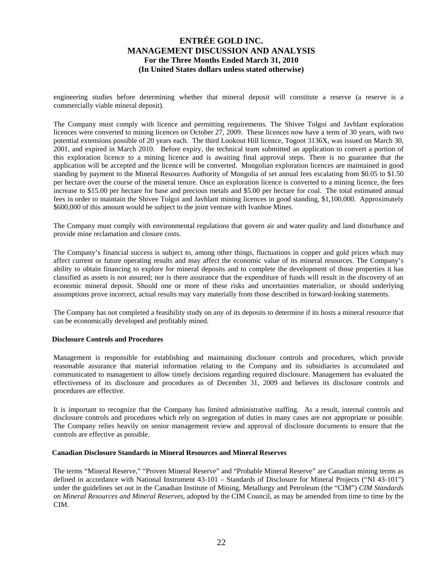engineering studies before determining whether that mineral deposit will constitute a reserve (a reserve is a commercially viable mineral deposit).

The Company must comply with licence and permitting requirements. The Shivee Tolgoi and Javhlant exploration licences were converted to mining licences on October 27, 2009. These licences now have a term of 30 years, with two potential extensions possible of 20 years each. The third Lookout Hill licence, Togoot 3136X, was issued on March 30, 2001, and expired in March 2010. Before expiry, the technical team submitted an application to convert a portion of this exploration licence to a mining licence and is awaiting final approval steps. There is no guarantee that the application will be accepted and the licence will be converted. Mongolian exploration licences are maintained in good standing by payment to the Mineral Resources Authority of Mongolia of set annual fees escalating from \$0.05 to \$1.50 per hectare over the course of the mineral tenure. Once an exploration licence is converted to a mining licence, the fees increase to \$15.00 per hectare for base and precious metals and \$5.00 per hectare for coal. The total estimated annual fees in order to maintain the Shivee Tolgoi and Javhlant mining licences in good standing, \$1,100,000. Approximately \$600,000 of this amount would be subject to the joint venture with Ivanhoe Mines.

The Company must comply with environmental regulations that govern air and water quality and land disturbance and provide mine reclamation and closure costs.

The Company's financial success is subject to, among other things, fluctuations in copper and gold prices which may affect current or future operating results and may affect the economic value of its mineral resources. The Company's ability to obtain financing to explore for mineral deposits and to complete the development of those properties it has classified as assets is not assured; nor is there assurance that the expenditure of funds will result in the discovery of an economic mineral deposit. Should one or more of these risks and uncertainties materialize, or should underlying assumptions prove incorrect, actual results may vary materially from those described in forward-looking statements.

The Company has not completed a feasibility study on any of its deposits to determine if its hosts a mineral resource that can be economically developed and profitably mined.

#### **Disclosure Controls and Procedures**

Management is responsible for establishing and maintaining disclosure controls and procedures, which provide reasonable assurance that material information relating to the Company and its subsidiaries is accumulated and communicated to management to allow timely decisions regarding required disclosure. Management has evaluated the effectiveness of its disclosure and procedures as of December 31, 2009 and believes its disclosure controls and procedures are effective.

It is important to recognize that the Company has limited administrative staffing. As a result, internal controls and disclosure controls and procedures which rely on segregation of duties in many cases are not appropriate or possible. The Company relies heavily on senior management review and approval of disclosure documents to ensure that the controls are effective as possible.

### **Canadian Disclosure Standards in Mineral Resources and Mineral Reserves**

The terms "Mineral Reserve," "Proven Mineral Reserve" and "Probable Mineral Reserve" are Canadian mining terms as defined in accordance with National Instrument 43-101 – Standards of Disclosure for Mineral Projects ("NI 43-101") under the guidelines set out in the Canadian Institute of Mining, Metallurgy and Petroleum (the "CIM") *CIM Standards on Mineral Resources and Mineral Reserves*, adopted by the CIM Council, as may be amended from time to time by the CIM.